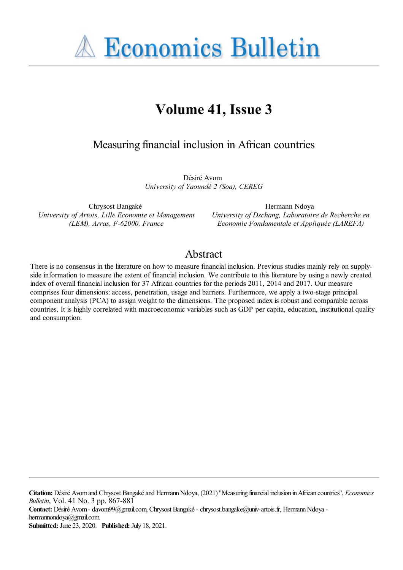**A Economics Bulletin** 

# **Volume 41, Issue 3**

Measuring financial inclusion in African countries

Désiré Avom *University of Yaoundé 2 (Soa), CEREG*

Chrysost Bangaké *University of Artois, Lille Economie et Management (LEM), Arras, F-62000, France*

Hermann Ndoya *University of Dschang, Laboratoire de Recherche en Economie Fondamentale et Appliquée (LAREFA)*

## Abstract

There is no consensus in the literature on how to measure financial inclusion. Previous studies mainly rely on supplyside information to measure the extent of financial inclusion. We contribute to this literature by using a newly created index of overall financial inclusion for 37 African countries for the periods 2011, 2014 and 2017. Our measure comprises four dimensions: access, penetration, usage and barriers. Furthermore, we apply a two-stage principal component analysis (PCA) to assign weight to the dimensions. The proposed index is robust and comparable across countries. It is highly correlated with macroeconomic variables such as GDP per capita, education, institutional quality and consumption.

**Citation:** Désiré Avomand Chrysost Bangakéand HermannNdoya, (2021) ''Measuring financialinclusion inAfrican countries'', *Economics Bulletin*, Vol. 41 No. 3 pp. 867-881

Contact: Désiré Avom- davom99@gmail.com, Chrysost Bangaké - chrysost.bangake@univ-artois.fr, Hermann Ndoya hermannondoya@gmail.com.

**Submitted:** June 23, 2020. **Published:** July 18, 2021.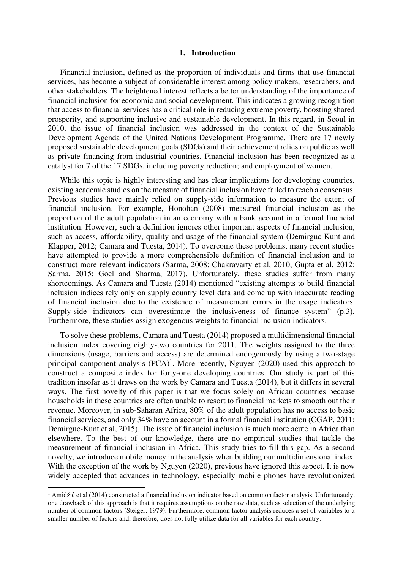#### **1. Introduction**

Financial inclusion, defined as the proportion of individuals and firms that use financial services, has become a subject of considerable interest among policy makers, researchers, and other stakeholders. The heightened interest reflects a better understanding of the importance of financial inclusion for economic and social development. This indicates a growing recognition that access to financial services has a critical role in reducing extreme poverty, boosting shared prosperity, and supporting inclusive and sustainable development. In this regard, in Seoul in 2010, the issue of financial inclusion was addressed in the context of the Sustainable Development Agenda of the United Nations Development Programme. There are 17 newly proposed sustainable development goals (SDGs) and their achievement relies on public as well as private financing from industrial countries. Financial inclusion has been recognized as a catalyst for 7 of the 17 SDGs, including poverty reduction; and employment of women.

While this topic is highly interesting and has clear implications for developing countries, existing academic studies on the measure of financial inclusion have failed to reach a consensus. Previous studies have mainly relied on supply-side information to measure the extent of financial inclusion. For example, Honohan (2008) measured financial inclusion as the proportion of the adult population in an economy with a bank account in a formal financial institution. However, such a definition ignores other important aspects of financial inclusion, such as access, affordability, quality and usage of the financial system (Demirguc-Kunt and Klapper, 2012; Camara and Tuesta, 2014). To overcome these problems, many recent studies have attempted to provide a more comprehensible definition of financial inclusion and to construct more relevant indicators (Sarma, 2008; Chakravarty et al, 2010; Gupta et al, 2012; Sarma, 2015; Goel and Sharma, 2017). Unfortunately, these studies suffer from many shortcomings. As Camara and Tuesta (2014) mentioned "existing attempts to build financial inclusion indices rely only on supply country level data and come up with inaccurate reading of financial inclusion due to the existence of measurement errors in the usage indicators. Supply-side indicators can overestimate the inclusiveness of finance system" (p.3). Furthermore, these studies assign exogenous weights to financial inclusion indicators.

To solve these problems, Camara and Tuesta (2014) proposed a multidimensional financial inclusion index covering eighty-two countries for 2011. The weights assigned to the three dimensions (usage, barriers and access) are determined endogenously by using a two-stage principal component analysis  $(PCA)^1$ . More recently, Nguyen (2020) used this approach to construct a composite index for forty-one developing countries. Our study is part of this tradition insofar as it draws on the work by Camara and Tuesta (2014), but it differs in several ways. The first novelty of this paper is that we focus solely on African countries because households in these countries are often unable to resort to financial markets to smooth out their revenue. Moreover, in sub-Saharan Africa, 80% of the adult population has no access to basic financial services, and only 34% have an account in a formal financial institution (CGAP, 2011; Demirguc-Kunt et al, 2015). The issue of financial inclusion is much more acute in Africa than elsewhere. To the best of our knowledge, there are no empirical studies that tackle the measurement of financial inclusion in Africa. This study tries to fill this gap. As a second novelty, we introduce mobile money in the analysis when building our multidimensional index. With the exception of the work by Nguyen (2020), previous have ignored this aspect. It is now widely accepted that advances in technology, especially mobile phones have revolutionized

 $1$  Amidžić et al (2014) constructed a financial inclusion indicator based on common factor analysis. Unfortunately, one drawback of this approach is that it requires assumptions on the raw data, such as selection of the underlying number of common factors (Steiger, 1979). Furthermore, common factor analysis reduces a set of variables to a smaller number of factors and, therefore, does not fully utilize data for all variables for each country.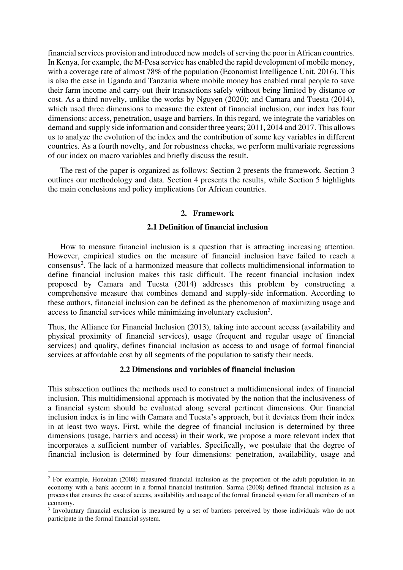financial services provision and introduced new models of serving the poor in African countries. In Kenya, for example, the M-Pesa service has enabled the rapid development of mobile money, with a coverage rate of almost 78% of the population (Economist Intelligence Unit, 2016). This is also the case in Uganda and Tanzania where mobile money has enabled rural people to save their farm income and carry out their transactions safely without being limited by distance or cost. As a third novelty, unlike the works by Nguyen (2020); and Camara and Tuesta (2014), which used three dimensions to measure the extent of financial inclusion, our index has four dimensions: access, penetration, usage and barriers. In this regard, we integrate the variables on demand and supply side information and consider three years; 2011, 2014 and 2017. This allows us to analyze the evolution of the index and the contribution of some key variables in different countries. As a fourth novelty, and for robustness checks, we perform multivariate regressions of our index on macro variables and briefly discuss the result.

The rest of the paper is organized as follows: Section 2 presents the framework. Section 3 outlines our methodology and data. Section 4 presents the results, while Section 5 highlights the main conclusions and policy implications for African countries.

#### **2. Framework**

#### **2.1 Definition of financial inclusion**

How to measure financial inclusion is a question that is attracting increasing attention. However, empirical studies on the measure of financial inclusion have failed to reach a consensus<sup>2</sup>. The lack of a harmonized measure that collects multidimensional information to define financial inclusion makes this task difficult. The recent financial inclusion index proposed by Camara and Tuesta (2014) addresses this problem by constructing a comprehensive measure that combines demand and supply-side information. According to these authors, financial inclusion can be defined as the phenomenon of maximizing usage and access to financial services while minimizing involuntary exclusion<sup>3</sup>.

Thus, the Alliance for Financial Inclusion (2013), taking into account access (availability and physical proximity of financial services), usage (frequent and regular usage of financial services) and quality, defines financial inclusion as access to and usage of formal financial services at affordable cost by all segments of the population to satisfy their needs.

#### **2.2 Dimensions and variables of financial inclusion**

This subsection outlines the methods used to construct a multidimensional index of financial inclusion. This multidimensional approach is motivated by the notion that the inclusiveness of a financial system should be evaluated along several pertinent dimensions. Our financial inclusion index is in line with Camara and Tuesta's approach, but it deviates from their index in at least two ways. First, while the degree of financial inclusion is determined by three dimensions (usage, barriers and access) in their work, we propose a more relevant index that incorporates a sufficient number of variables. Specifically, we postulate that the degree of financial inclusion is determined by four dimensions: penetration, availability, usage and

<sup>&</sup>lt;sup>2</sup> For example, Honohan (2008) measured financial inclusion as the proportion of the adult population in an economy with a bank account in a formal financial institution. Sarma (2008) defined financial inclusion as a process that ensures the ease of access, availability and usage of the formal financial system for all members of an economy.

<sup>&</sup>lt;sup>3</sup> Involuntary financial exclusion is measured by a set of barriers perceived by those individuals who do not participate in the formal financial system.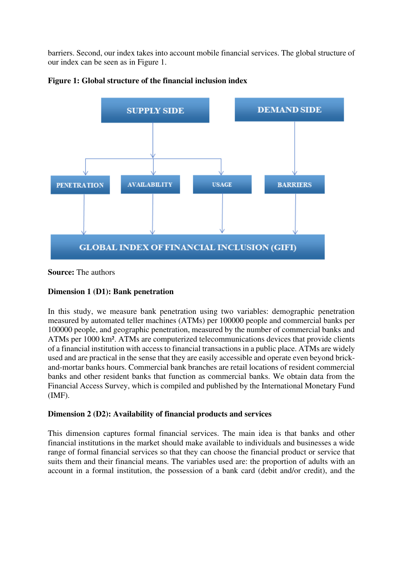barriers. Second, our index takes into account mobile financial services. The global structure of our index can be seen as in Figure 1.



**Figure 1: Global structure of the financial inclusion index** 

**Source:** The authors

#### **Dimension 1 (D1): Bank penetration**

In this study, we measure bank penetration using two variables: demographic penetration measured by automated teller machines (ATMs) per 100000 people and commercial banks per 100000 people, and geographic penetration, measured by the number of commercial banks and ATMs per 1000 km². ATMs are computerized telecommunications devices that provide clients of a financial institution with access to financial transactions in a public place. ATMs are widely used and are practical in the sense that they are easily accessible and operate even beyond brickand-mortar banks hours. Commercial bank branches are retail locations of resident commercial banks and other resident banks that function as commercial banks. We obtain data from the Financial Access Survey, which is compiled and published by the International Monetary Fund (IMF).

#### **Dimension 2 (D2): Availability of financial products and services**

This dimension captures formal financial services. The main idea is that banks and other financial institutions in the market should make available to individuals and businesses a wide range of formal financial services so that they can choose the financial product or service that suits them and their financial means. The variables used are: the proportion of adults with an account in a formal institution, the possession of a bank card (debit and/or credit), and the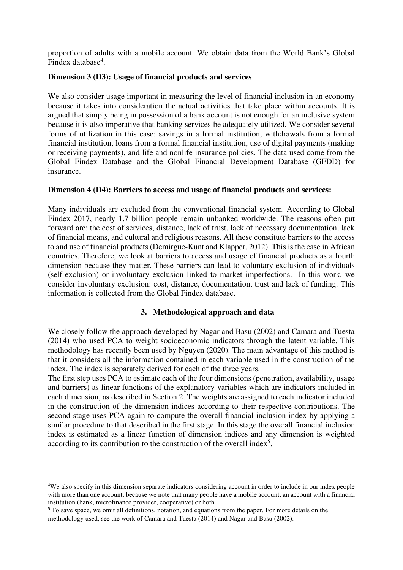proportion of adults with a mobile account. We obtain data from the World Bank's Global Findex database<sup>4</sup>.

#### **Dimension 3 (D3): Usage of financial products and services**

We also consider usage important in measuring the level of financial inclusion in an economy because it takes into consideration the actual activities that take place within accounts. It is argued that simply being in possession of a bank account is not enough for an inclusive system because it is also imperative that banking services be adequately utilized. We consider several forms of utilization in this case: savings in a formal institution, withdrawals from a formal financial institution, loans from a formal financial institution, use of digital payments (making or receiving payments), and life and nonlife insurance policies. The data used come from the Global Findex Database and the Global Financial Development Database (GFDD) for insurance.

#### **Dimension 4 (D4): Barriers to access and usage of financial products and services:**

Many individuals are excluded from the conventional financial system. According to Global Findex 2017, nearly 1.7 billion people remain unbanked worldwide. The reasons often put forward are: the cost of services, distance, lack of trust, lack of necessary documentation, lack of financial means, and cultural and religious reasons. All these constitute barriers to the access to and use of financial products (Demirguc-Kunt and Klapper, 2012). This is the case in African countries. Therefore, we look at barriers to access and usage of financial products as a fourth dimension because they matter. These barriers can lead to voluntary exclusion of individuals (self-exclusion) or involuntary exclusion linked to market imperfections. In this work, we consider involuntary exclusion: cost, distance, documentation, trust and lack of funding. This information is collected from the Global Findex database.

#### **3. Methodological approach and data**

We closely follow the approach developed by Nagar and Basu (2002) and Camara and Tuesta (2014) who used PCA to weight socioeconomic indicators through the latent variable. This methodology has recently been used by Nguyen (2020). The main advantage of this method is that it considers all the information contained in each variable used in the construction of the index. The index is separately derived for each of the three years.

The first step uses PCA to estimate each of the four dimensions (penetration, availability, usage and barriers) as linear functions of the explanatory variables which are indicators included in each dimension, as described in Section 2. The weights are assigned to each indicator included in the construction of the dimension indices according to their respective contributions. The second stage uses PCA again to compute the overall financial inclusion index by applying a similar procedure to that described in the first stage. In this stage the overall financial inclusion index is estimated as a linear function of dimension indices and any dimension is weighted according to its contribution to the construction of the overall index<sup>5</sup>.

<sup>4</sup>We also specify in this dimension separate indicators considering account in order to include in our index people with more than one account, because we note that many people have a mobile account, an account with a financial institution (bank, microfinance provider, cooperative) or both.

<sup>&</sup>lt;sup>5</sup> To save space, we omit all definitions, notation, and equations from the paper. For more details on the methodology used, see the work of Camara and Tuesta (2014) and Nagar and Basu (2002).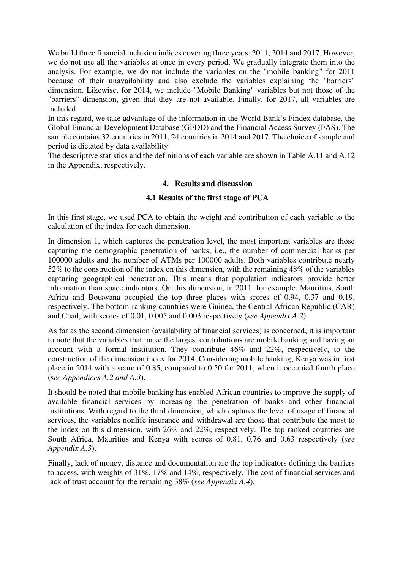We build three financial inclusion indices covering three years: 2011, 2014 and 2017. However, we do not use all the variables at once in every period. We gradually integrate them into the analysis. For example, we do not include the variables on the "mobile banking" for 2011 because of their unavailability and also exclude the variables explaining the "barriers" dimension. Likewise, for 2014, we include "Mobile Banking" variables but not those of the "barriers" dimension, given that they are not available. Finally, for 2017, all variables are included.

In this regard, we take advantage of the information in the World Bank's Findex database, the Global Financial Development Database (GFDD) and the Financial Access Survey (FAS). The sample contains 32 countries in 2011, 24 countries in 2014 and 2017. The choice of sample and period is dictated by data availability.

The descriptive statistics and the definitions of each variable are shown in Table A.11 and A.12 in the Appendix, respectively.

#### **4. Results and discussion**

#### **4.1 Results of the first stage of PCA**

In this first stage, we used PCA to obtain the weight and contribution of each variable to the calculation of the index for each dimension.

In dimension 1, which captures the penetration level, the most important variables are those capturing the demographic penetration of banks, i.e., the number of commercial banks per 100000 adults and the number of ATMs per 100000 adults. Both variables contribute nearly 52% to the construction of the index on this dimension, with the remaining 48% of the variables capturing geographical penetration. This means that population indicators provide better information than space indicators. On this dimension, in 2011, for example, Mauritius, South Africa and Botswana occupied the top three places with scores of 0.94, 0.37 and 0.19, respectively. The bottom-ranking countries were Guinea, the Central African Republic (CAR) and Chad, with scores of 0.01, 0.005 and 0.003 respectively (*see Appendix A.2*).

As far as the second dimension (availability of financial services) is concerned, it is important to note that the variables that make the largest contributions are mobile banking and having an account with a formal institution. They contribute 46% and 22%, respectively, to the construction of the dimension index for 2014. Considering mobile banking, Kenya was in first place in 2014 with a score of 0.85, compared to 0.50 for 2011, when it occupied fourth place (s*ee Appendices A.2 and A.3*).

It should be noted that mobile banking has enabled African countries to improve the supply of available financial services by increasing the penetration of banks and other financial institutions. With regard to the third dimension, which captures the level of usage of financial services, the variables nonlife insurance and withdrawal are those that contribute the most to the index on this dimension, with 26% and 22%, respectively. The top ranked countries are South Africa, Mauritius and Kenya with scores of 0.81, 0.76 and 0.63 respectively (*see Appendix A.3*).

Finally, lack of money, distance and documentation are the top indicators defining the barriers to access, with weights of 31%, 17% and 14%, respectively. The cost of financial services and lack of trust account for the remaining 38% (*see Appendix A.4*).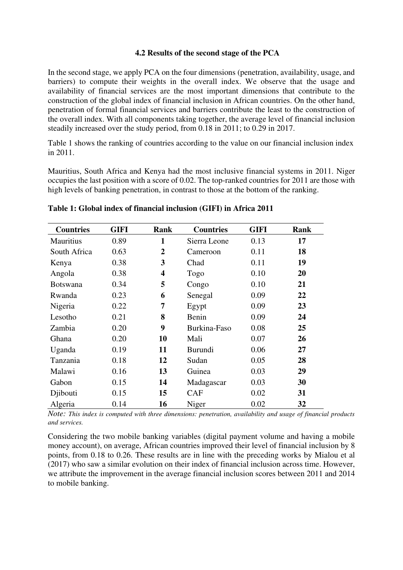#### **4.2 Results of the second stage of the PCA**

In the second stage, we apply PCA on the four dimensions (penetration, availability, usage, and barriers) to compute their weights in the overall index. We observe that the usage and availability of financial services are the most important dimensions that contribute to the construction of the global index of financial inclusion in African countries. On the other hand, penetration of formal financial services and barriers contribute the least to the construction of the overall index. With all components taking together, the average level of financial inclusion steadily increased over the study period, from 0.18 in 2011; to 0.29 in 2017.

Table 1 shows the ranking of countries according to the value on our financial inclusion index in 2011.

Mauritius, South Africa and Kenya had the most inclusive financial systems in 2011. Niger occupies the last position with a score of 0.02. The top-ranked countries for 2011 are those with high levels of banking penetration, in contrast to those at the bottom of the ranking.

| <b>Countries</b> | <b>GIFI</b> | Rank                    | <b>Countries</b> | <b>GIFI</b> | <b>Rank</b> |
|------------------|-------------|-------------------------|------------------|-------------|-------------|
| <b>Mauritius</b> | 0.89        | 1                       | Sierra Leone     | 0.13        | 17          |
| South Africa     | 0.63        | $\overline{2}$          | Cameroon         | 0.11        | 18          |
| Kenya            | 0.38        | 3                       | Chad             | 0.11        | 19          |
| Angola           | 0.38        | $\overline{\mathbf{4}}$ | Togo             | 0.10        | 20          |
| <b>Botswana</b>  | 0.34        | 5                       | Congo            | 0.10        | 21          |
| Rwanda           | 0.23        | 6                       | Senegal          | 0.09        | 22          |
| Nigeria          | 0.22        | 7                       | Egypt            | 0.09        | 23          |
| Lesotho          | 0.21        | 8                       | Benin            | 0.09        | 24          |
| Zambia           | 0.20        | 9                       | Burkina-Faso     | 0.08        | 25          |
| Ghana            | 0.20        | 10                      | Mali             | 0.07        | 26          |
| Uganda           | 0.19        | 11                      | <b>Burundi</b>   | 0.06        | 27          |
| Tanzania         | 0.18        | 12                      | Sudan            | 0.05        | 28          |
| Malawi           | 0.16        | 13                      | Guinea           | 0.03        | 29          |
| Gabon            | 0.15        | 14                      | Madagascar       | 0.03        | 30          |
| Djibouti         | 0.15        | 15                      | <b>CAF</b>       | 0.02        | 31          |
| Algeria          | 0.14        | 16                      | Niger            | 0.02        | 32          |

#### **Table 1: Global index of financial inclusion (GIFI) in Africa 2011**

*Note: This index is computed with three dimensions: penetration, availability and usage of financial products and services.* 

Considering the two mobile banking variables (digital payment volume and having a mobile money account), on average, African countries improved their level of financial inclusion by 8 points, from 0.18 to 0.26. These results are in line with the preceding works by Mialou et al (2017) who saw a similar evolution on their index of financial inclusion across time. However, we attribute the improvement in the average financial inclusion scores between 2011 and 2014 to mobile banking.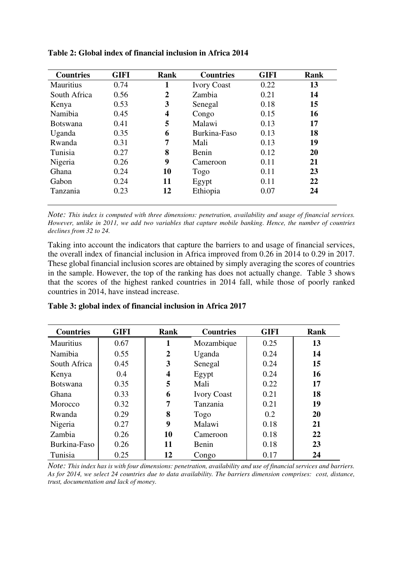| <b>Countries</b> | <b>GIFI</b> | Rank           | <b>Countries</b>   | <b>GIFI</b> | Rank |
|------------------|-------------|----------------|--------------------|-------------|------|
| <b>Mauritius</b> | 0.74        | 1              | <b>Ivory Coast</b> | 0.22        | 13   |
| South Africa     | 0.56        | $\overline{2}$ | Zambia             | 0.21        | 14   |
| Kenya            | 0.53        | 3              | Senegal            | 0.18        | 15   |
| Namibia          | 0.45        | 4              | Congo              | 0.15        | 16   |
| <b>Botswana</b>  | 0.41        | 5              | Malawi             | 0.13        | 17   |
| Uganda           | 0.35        | 6              | Burkina-Faso       | 0.13        | 18   |
| Rwanda           | 0.31        | 7              | Mali               | 0.13        | 19   |
| Tunisia          | 0.27        | 8              | Benin              | 0.12        | 20   |
| Nigeria          | 0.26        | 9              | Cameroon           | 0.11        | 21   |
| Ghana            | 0.24        | 10             | Togo               | 0.11        | 23   |
| Gabon            | 0.24        | 11             | Egypt              | 0.11        | 22   |
| Tanzania         | 0.23        | 12             | Ethiopia           | 0.07        | 24   |

**Table 2: Global index of financial inclusion in Africa 2014** 

*Note: This index is computed with three dimensions: penetration, availability and usage of financial services. However, unlike in 2011, we add two variables that capture mobile banking. Hence, the number of countries declines from 32 to 24.* 

Taking into account the indicators that capture the barriers to and usage of financial services, the overall index of financial inclusion in Africa improved from 0.26 in 2014 to 0.29 in 2017. These global financial inclusion scores are obtained by simply averaging the scores of countries in the sample. However, the top of the ranking has does not actually change. Table 3 shows that the scores of the highest ranked countries in 2014 fall, while those of poorly ranked countries in 2014, have instead increase.

| <b>Countries</b> | <b>GIFI</b> | Rank                    | <b>Countries</b>   |      | <b>Rank</b> |
|------------------|-------------|-------------------------|--------------------|------|-------------|
| <b>Mauritius</b> | 0.67        | 1                       | Mozambique         | 0.25 | 13          |
| Namibia          | 0.55        | $\boldsymbol{2}$        | Uganda             | 0.24 | 14          |
| South Africa     | 0.45        | 3                       | Senegal            | 0.24 | 15          |
| Kenya            | 0.4         | $\overline{\mathbf{4}}$ | Egypt              | 0.24 | 16          |
| <b>Botswana</b>  | 0.35        | 5                       | Mali               | 0.22 | 17          |
| Ghana            | 0.33        | 6                       | <b>Ivory Coast</b> | 0.21 | 18          |
| Morocco          | 0.32        | 7                       | Tanzania           | 0.21 | 19          |
| Rwanda           | 0.29        | 8                       | Togo               | 0.2  | 20          |
| Nigeria          | 0.27        | 9                       | Malawi             | 0.18 | 21          |
| Zambia           | 0.26        | 10                      | Cameroon           | 0.18 | 22          |
| Burkina-Faso     | 0.26        | 11                      | Benin              | 0.18 | 23          |
| Tunisia          | 0.25        | 12                      | Congo              | 0.17 | 24          |

**Table 3: global index of financial inclusion in Africa 2017** 

*Note: This index has is with four dimensions: penetration, availability and use of financial services and barriers. As for 2014, we select 24 countries due to data availability. The barriers dimension comprises: cost, distance, trust, documentation and lack of money.*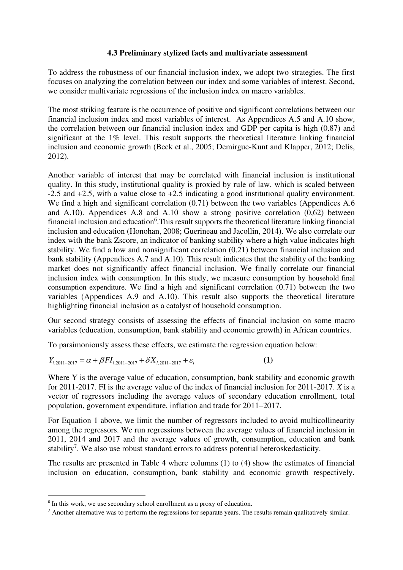#### **4.3 Preliminary stylized facts and multivariate assessment**

To address the robustness of our financial inclusion index, we adopt two strategies. The first focuses on analyzing the correlation between our index and some variables of interest. Second, we consider multivariate regressions of the inclusion index on macro variables.

The most striking feature is the occurrence of positive and significant correlations between our financial inclusion index and most variables of interest. As Appendices A.5 and A.10 show, the correlation between our financial inclusion index and GDP per capita is high (0.87) and significant at the 1% level. This result supports the theoretical literature linking financial inclusion and economic growth (Beck et al., 2005; Demirguc-Kunt and Klapper, 2012; Delis, 2012).

Another variable of interest that may be correlated with financial inclusion is institutional quality. In this study, institutional quality is proxied by rule of law, which is scaled between -2.5 and +2.5, with a value close to +2.5 indicating a good institutional quality environment. We find a high and significant correlation  $(0.71)$  between the two variables (Appendices A.6) and A.10). Appendices A.8 and A.10 show a strong positive correlation (0,62) between financial inclusion and education<sup>6</sup>. This result supports the theoretical literature linking financial inclusion and education (Honohan, 2008; Guerineau and Jacollin, 2014). We also correlate our index with the bank Zscore, an indicator of banking stability where a high value indicates high stability. We find a low and nonsignificant correlation (0.21) between financial inclusion and bank stability (Appendices A.7 and A.10). This result indicates that the stability of the banking market does not significantly affect financial inclusion. We finally correlate our financial inclusion index with consumption. In this study, we measure consumption by household final consumption expenditure. We find a high and significant correlation (0.71) between the two variables (Appendices A.9 and A.10). This result also supports the theoretical literature highlighting financial inclusion as a catalyst of household consumption.

Our second strategy consists of assessing the effects of financial inclusion on some macro variables (education, consumption, bank stability and economic growth) in African countries.

To parsimoniously assess these effects, we estimate the regression equation below:

$$
Y_{i,2011-2017} = \alpha + \beta F I_{i,2011-2017} + \delta X_{i,2011-2017} + \varepsilon_i
$$
 (1)

Where Y is the average value of education, consumption, bank stability and economic growth for 2011-2017. FI is the average value of the index of financial inclusion for 2011-2017. *X* is a vector of regressors including the average values of secondary education enrollment, total population, government expenditure, inflation and trade for 2011–2017.

For Equation 1 above, we limit the number of regressors included to avoid multicollinearity among the regressors. We run regressions between the average values of financial inclusion in 2011, 2014 and 2017 and the average values of growth, consumption, education and bank stability<sup>7</sup>. We also use robust standard errors to address potential heteroskedasticity.

The results are presented in Table 4 where columns (1) to (4) show the estimates of financial inclusion on education, consumption, bank stability and economic growth respectively.

<sup>&</sup>lt;sup>6</sup> In this work, we use secondary school enrollment as a proxy of education.

<sup>&</sup>lt;sup>7</sup> Another alternative was to perform the regressions for separate years. The results remain qualitatively similar.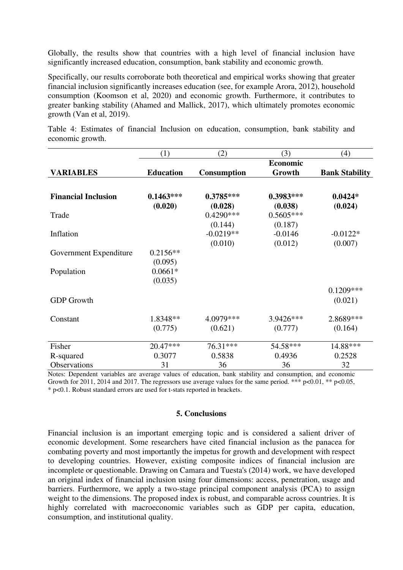Globally, the results show that countries with a high level of financial inclusion have significantly increased education, consumption, bank stability and economic growth.

Specifically, our results corroborate both theoretical and empirical works showing that greater financial inclusion significantly increases education (see, for example Arora, 2012), household consumption (Koomson et al, 2020) and economic growth. Furthermore, it contributes to greater banking stability (Ahamed and Mallick, 2017), which ultimately promotes economic growth (Van et al, 2019).

(1)  $(2)$   $(3)$   $(4)$ **VARIABLES Education Consumption Economic Growth Bank Stability Financial Inclusion 0.1463\*\*\* 0.3785\*\*\* 0.3983\*\*\* 0.0424\***   $(0.020)$   $(0.028)$   $(0.038)$   $(0.024)$ Trade 0.4290\*\*\* 0.5605\*\*\*  $(0.144)$   $(0.187)$ Inflation  $-0.0219**$   $-0.0146$   $-0.0122*$  $(0.010)$   $(0.012)$   $(0.007)$ Government Expenditure 0.2156\*\*  $(0.095)$ Population 0.0661\*  $(0.035)$ GDP Growth 0.1209\*\*\*  $(0.021)$ Constant 1.8348\*\* 4.0979\*\*\* 3.9426\*\*\* 2.8689\*\*\*  $(0.775)$   $(0.621)$   $(0.777)$   $(0.164)$ Fisher 20.47\*\*\*  $76.31***$  54.58\*\*\* 14.88\*\*\* R-squared 0.3077 0.5838 0.4936 0.2528 Observations 31 36 36 32

Table 4: Estimates of financial Inclusion on education, consumption, bank stability and economic growth.

Notes: Dependent variables are average values of education, bank stability and consumption, and economic Growth for 2011, 2014 and 2017. The regressors use average values for the same period. \*\*\*  $p<0.01$ , \*\*  $p<0.05$ , \* p<0.1. Robust standard errors are used for t-stats reported in brackets.

#### **5. Conclusions**

Financial inclusion is an important emerging topic and is considered a salient driver of economic development. Some researchers have cited financial inclusion as the panacea for combating poverty and most importantly the impetus for growth and development with respect to developing countries. However, existing composite indices of financial inclusion are incomplete or questionable. Drawing on Camara and Tuesta's (2014) work, we have developed an original index of financial inclusion using four dimensions: access, penetration, usage and barriers. Furthermore, we apply a two-stage principal component analysis (PCA) to assign weight to the dimensions. The proposed index is robust, and comparable across countries. It is highly correlated with macroeconomic variables such as GDP per capita, education, consumption, and institutional quality.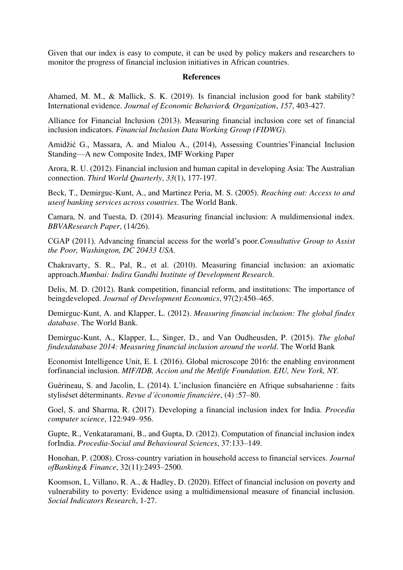Given that our index is easy to compute, it can be used by policy makers and researchers to monitor the progress of financial inclusion initiatives in African countries.

#### **References**

Ahamed, M. M., & Mallick, S. K. (2019). Is financial inclusion good for bank stability? International evidence. *Journal of Economic Behavior& Organization*, *157*, 403-427.

Alliance for Financial Inclusion (2013). Measuring financial inclusion core set of financial inclusion indicators. *Financial Inclusion Data Working Group (FIDWG)*.

Amidžić G., Massara, A. and Mialou A., (2014), Assessing Countries'Financial Inclusion Standing—A new Composite Index, IMF Working Paper

Arora, R. U. (2012). Financial inclusion and human capital in developing Asia: The Australian connection. *Third World Quarterly*, *33*(1), 177-197.

Beck, T., Demirguc-Kunt, A., and Martinez Peria, M. S. (2005). *Reaching out: Access to and useof banking services across countries*. The World Bank.

Camara, N. and Tuesta, D. (2014). Measuring financial inclusion: A muldimensional index. *BBVAResearch Paper*, (14/26).

CGAP (2011). Advancing financial access for the world's poor.*Consultative Group to Assist the Poor, Washington, DC 20433 USA.*

Chakravarty, S. R., Pal, R., et al. (2010). Measuring financial inclusion: an axiomatic approach.*Mumbai: Indira Gandhi Institute of Development Research*.

Delis, M. D. (2012). Bank competition, financial reform, and institutions: The importance of beingdeveloped. *Journal of Development Economics*, 97(2):450–465.

Demirguc-Kunt, A. and Klapper, L. (2012). *Measuring financial inclusion: The global findex database*. The World Bank.

Demirguc-Kunt, A., Klapper, L., Singer, D., and Van Oudheusden, P. (2015). *The global findexdatabase 2014: Measuring financial inclusion around the world*. The World Bank

Economist Intelligence Unit, E. I. (2016). Global microscope 2016: the enabling environment forfinancial inclusion. *MIF/IDB, Accion and the Metlife Foundation. EIU, New York, NY.*

Guérineau, S. and Jacolin, L. (2014). L'inclusion financière en Afrique subsaharienne : faits styliséset déterminants. *Revue d'économie financière*, (4) :57–80.

Goel, S. and Sharma, R. (2017). Developing a financial inclusion index for India. *Procedia computer science*, 122:949–956.

Gupte, R., Venkataramani, B., and Gupta, D. (2012). Computation of financial inclusion index forIndia. *Procedia-Social and Behavioural Sciences*, 37:133–149.

Honohan, P. (2008). Cross-country variation in household access to financial services. *Journal ofBanking& Finance*, 32(11):2493–2500.

Koomson, I., Villano, R. A., & Hadley, D. (2020). Effect of financial inclusion on poverty and vulnerability to poverty: Evidence using a multidimensional measure of financial inclusion. *Social Indicators Research*, 1-27.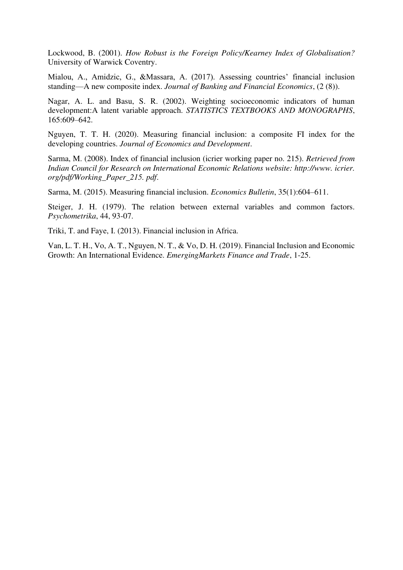Lockwood, B. (2001). *How Robust is the Foreign Policy/Kearney Index of Globalisation?*  University of Warwick Coventry.

Mialou, A., Amidzic, G., &Massara, A. (2017). Assessing countries' financial inclusion standing—A new composite index. *Journal of Banking and Financial Economics*, (2 (8)).

Nagar, A. L. and Basu, S. R. (2002). Weighting socioeconomic indicators of human development:A latent variable approach. *STATISTICS TEXTBOOKS AND MONOGRAPHS*, 165:609–642.

Nguyen, T. T. H. (2020). Measuring financial inclusion: a composite FI index for the developing countries. *Journal of Economics and Development*.

Sarma, M. (2008). Index of financial inclusion (icrier working paper no. 215). *Retrieved from Indian Council for Research on International Economic Relations website: http://www. icrier. org/pdf/Working\_Paper\_215. pdf*.

Sarma, M. (2015). Measuring financial inclusion. *Economics Bulletin*, 35(1):604–611.

Steiger, J. H. (1979). The relation between external variables and common factors. *Psychometrika*, 44, 93-07.

Triki, T. and Faye, I. (2013). Financial inclusion in Africa.

Van, L. T. H., Vo, A. T., Nguyen, N. T., & Vo, D. H. (2019). Financial Inclusion and Economic Growth: An International Evidence. *EmergingMarkets Finance and Trade*, 1-25.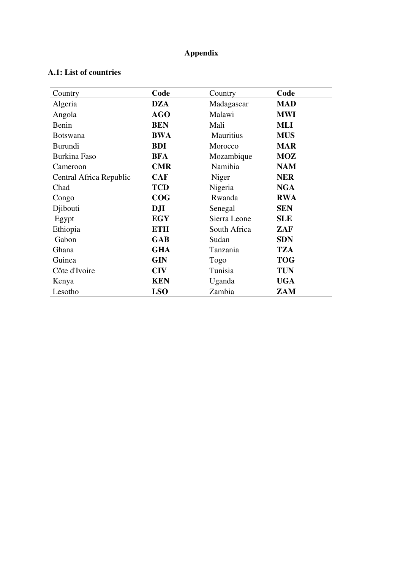## **Appendix**

| Country                 | Code       | Country          | Code       |
|-------------------------|------------|------------------|------------|
| Algeria                 | <b>DZA</b> | Madagascar       | <b>MAD</b> |
| Angola                  | <b>AGO</b> | Malawi           | <b>MWI</b> |
| Benin                   | <b>BEN</b> | Mali             | <b>MLI</b> |
| <b>Botswana</b>         | <b>BWA</b> | <b>Mauritius</b> | <b>MUS</b> |
| <b>Burundi</b>          | <b>BDI</b> | Morocco          | <b>MAR</b> |
| <b>Burkina Faso</b>     | <b>BFA</b> | Mozambique       | <b>MOZ</b> |
| Cameroon                | <b>CMR</b> | Namibia          | <b>NAM</b> |
| Central Africa Republic | <b>CAF</b> | Niger            | <b>NER</b> |
| Chad                    | <b>TCD</b> | Nigeria          | <b>NGA</b> |
| Congo                   | COG        | Rwanda           | <b>RWA</b> |
| Djibouti                | <b>DJI</b> | Senegal          | <b>SEN</b> |
| Egypt                   | <b>EGY</b> | Sierra Leone     | <b>SLE</b> |
| Ethiopia                | <b>ETH</b> | South Africa     | ZAF        |
| Gabon                   | <b>GAB</b> | Sudan            | <b>SDN</b> |
| Ghana                   | <b>GHA</b> | Tanzania         | <b>TZA</b> |
| Guinea                  | <b>GIN</b> | Togo             | <b>TOG</b> |
| Côte d'Ivoire           | <b>CIV</b> | Tunisia          | <b>TUN</b> |
| Kenya                   | <b>KEN</b> | Uganda           | <b>UGA</b> |
| Lesotho                 | <b>LSO</b> | Zambia           | ZAM        |

### **A.1: List of countries**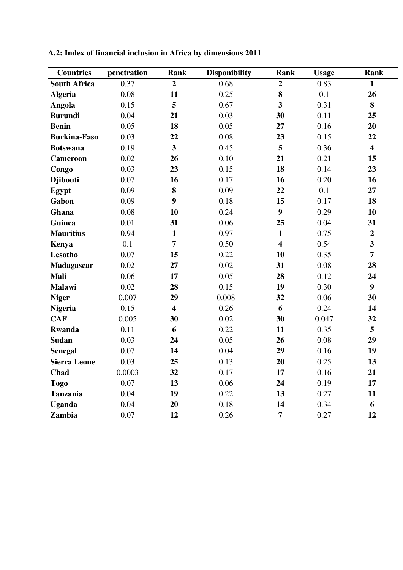| <b>Countries</b>    | penetration | Rank                    | <b>Disponibility</b> | Rank                    | <b>Usage</b> | Rank                    |
|---------------------|-------------|-------------------------|----------------------|-------------------------|--------------|-------------------------|
| <b>South Africa</b> | 0.37        | $\overline{2}$          | 0.68                 | $\overline{2}$          | 0.83         | 1                       |
| <b>Algeria</b>      | 0.08        | 11                      | 0.25                 | 8                       | 0.1          | 26                      |
| Angola              | 0.15        | 5                       | 0.67                 | $\overline{\mathbf{3}}$ | 0.31         | 8                       |
| <b>Burundi</b>      | 0.04        | 21                      | 0.03                 | 30                      | 0.11         | 25                      |
| <b>Benin</b>        | 0.05        | 18                      | 0.05                 | 27                      | 0.16         | 20                      |
| <b>Burkina-Faso</b> | 0.03        | 22                      | 0.08                 | 23                      | 0.15         | 22                      |
| <b>Botswana</b>     | 0.19        | 3                       | 0.45                 | 5                       | 0.36         | $\overline{\mathbf{4}}$ |
| <b>Cameroon</b>     | 0.02        | 26                      | 0.10                 | 21                      | 0.21         | 15                      |
| Congo               | 0.03        | 23                      | 0.15                 | 18                      | 0.14         | 23                      |
| <b>Djibouti</b>     | 0.07        | 16                      | 0.17                 | 16                      | 0.20         | 16                      |
| Egypt               | 0.09        | 8                       | 0.09                 | 22                      | 0.1          | 27                      |
| Gabon               | 0.09        | 9                       | 0.18                 | 15                      | 0.17         | 18                      |
| Ghana               | 0.08        | 10                      | 0.24                 | $\boldsymbol{9}$        | 0.29         | 10                      |
| Guinea              | 0.01        | 31                      | 0.06                 | 25                      | 0.04         | 31                      |
| <b>Mauritius</b>    | 0.94        | $\mathbf{1}$            | 0.97                 | $\mathbf{1}$            | 0.75         | $\overline{2}$          |
| Kenya               | 0.1         | $\overline{7}$          | 0.50                 | $\overline{\mathbf{4}}$ | 0.54         | $\overline{\mathbf{3}}$ |
| Lesotho             | 0.07        | 15                      | 0.22                 | 10                      | 0.35         | $\overline{7}$          |
| <b>Madagascar</b>   | 0.02        | 27                      | 0.02                 | 31                      | 0.08         | 28                      |
| Mali                | 0.06        | 17                      | 0.05                 | 28                      | 0.12         | 24                      |
| <b>Malawi</b>       | 0.02        | 28                      | 0.15                 | 19                      | 0.30         | 9                       |
| <b>Niger</b>        | 0.007       | 29                      | 0.008                | 32                      | 0.06         | 30                      |
| <b>Nigeria</b>      | 0.15        | $\overline{\mathbf{4}}$ | 0.26                 | 6                       | 0.24         | 14                      |
| <b>CAF</b>          | 0.005       | 30                      | 0.02                 | 30                      | 0.047        | 32                      |
| <b>Rwanda</b>       | 0.11        | 6                       | 0.22                 | 11                      | 0.35         | 5                       |
| <b>Sudan</b>        | 0.03        | 24                      | 0.05                 | 26                      | 0.08         | 29                      |
| <b>Senegal</b>      | 0.07        | 14                      | 0.04                 | 29                      | 0.16         | 19                      |
| <b>Sierra Leone</b> | 0.03        | 25                      | 0.13                 | 20                      | 0.25         | 13                      |
| Chad                | 0.0003      | 32                      | 0.17                 | 17                      | 0.16         | 21                      |
| <b>Togo</b>         | 0.07        | 13                      | 0.06                 | 24                      | 0.19         | 17                      |
| <b>Tanzania</b>     | 0.04        | 19                      | 0.22                 | 13                      | 0.27         | 11                      |
| <b>Uganda</b>       | 0.04        | 20                      | 0.18                 | 14                      | 0.34         | 6                       |
| Zambia              | 0.07        | 12                      | 0.26                 | 7                       | 0.27         | 12                      |

**A.2: Index of financial inclusion in Africa by dimensions 2011**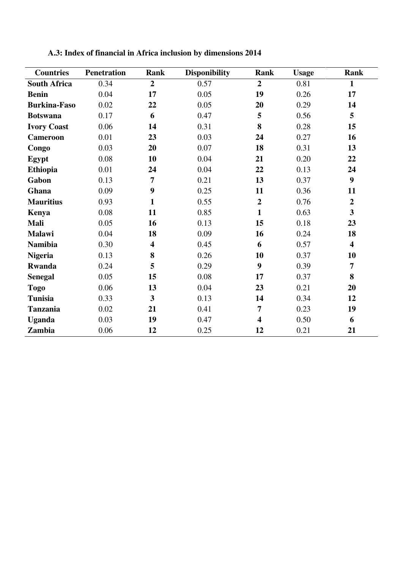| <b>Countries</b>    | <b>Penetration</b> | Rank                    | <b>Disponibility</b> | Rank                    | <b>Usage</b> | Rank                    |
|---------------------|--------------------|-------------------------|----------------------|-------------------------|--------------|-------------------------|
| <b>South Africa</b> | 0.34               | $\overline{2}$          | 0.57                 | $\overline{2}$          | 0.81         | $\mathbf{1}$            |
| <b>Benin</b>        | 0.04               | 17                      | 0.05                 | 19                      | 0.26         | 17                      |
| <b>Burkina-Faso</b> | 0.02               | 22                      | 0.05                 | 20                      | 0.29         | 14                      |
| <b>Botswana</b>     | 0.17               | 6                       | 0.47                 | 5                       | 0.56         | 5                       |
| <b>Ivory Coast</b>  | 0.06               | 14                      | 0.31                 | 8                       | 0.28         | 15                      |
| <b>Cameroon</b>     | 0.01               | 23                      | 0.03                 | 24                      | 0.27         | 16                      |
| Congo               | 0.03               | 20                      | 0.07                 | 18                      | 0.31         | 13                      |
| Egypt               | 0.08               | 10                      | 0.04                 | 21                      | 0.20         | 22                      |
| <b>Ethiopia</b>     | 0.01               | 24                      | 0.04                 | 22                      | 0.13         | 24                      |
| Gabon               | 0.13               | $\overline{7}$          | 0.21                 | 13                      | 0.37         | $\boldsymbol{9}$        |
| Ghana               | 0.09               | $\boldsymbol{9}$        | 0.25                 | 11                      | 0.36         | 11                      |
| <b>Mauritius</b>    | 0.93               | $\mathbf{1}$            | 0.55                 | $\overline{2}$          | 0.76         | $\overline{2}$          |
| Kenya               | 0.08               | 11                      | 0.85                 | $\mathbf{1}$            | 0.63         | $\overline{\mathbf{3}}$ |
| Mali                | 0.05               | 16                      | 0.13                 | 15                      | 0.18         | 23                      |
| <b>Malawi</b>       | 0.04               | 18                      | 0.09                 | 16                      | 0.24         | 18                      |
| <b>Namibia</b>      | 0.30               | $\overline{\mathbf{4}}$ | 0.45                 | 6                       | 0.57         | $\overline{\mathbf{4}}$ |
| <b>Nigeria</b>      | 0.13               | 8                       | 0.26                 | 10                      | 0.37         | 10                      |
| <b>Rwanda</b>       | 0.24               | 5                       | 0.29                 | 9                       | 0.39         | $\overline{7}$          |
| <b>Senegal</b>      | 0.05               | 15                      | 0.08                 | 17                      | 0.37         | 8                       |
| <b>Togo</b>         | 0.06               | 13                      | 0.04                 | 23                      | 0.21         | 20                      |
| <b>Tunisia</b>      | 0.33               | $\overline{\mathbf{3}}$ | 0.13                 | 14                      | 0.34         | 12                      |
| <b>Tanzania</b>     | 0.02               | 21                      | 0.41                 | $\overline{7}$          | 0.23         | 19                      |
| <b>Uganda</b>       | 0.03               | 19                      | 0.47                 | $\overline{\mathbf{4}}$ | 0.50         | 6                       |
| Zambia              | 0.06               | 12                      | 0.25                 | 12                      | 0.21         | 21                      |

**A.3: Index of financial in Africa inclusion by dimensions 2014**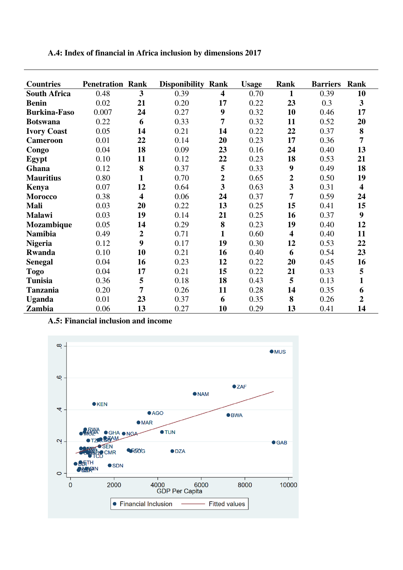|  |  | A.4: Index of financial in Africa inclusion by dimensions 2017 |  |  |
|--|--|----------------------------------------------------------------|--|--|
|  |  |                                                                |  |  |

| <b>Countries</b>    | <b>Penetration Rank</b> |                         | <b>Disponibility Rank</b> |                         | <b>Usage</b> | <b>Rank</b>             | <b>Barriers</b> | Rank                    |
|---------------------|-------------------------|-------------------------|---------------------------|-------------------------|--------------|-------------------------|-----------------|-------------------------|
| <b>South Africa</b> | 0.48                    | 3                       | 0.39                      | 4                       | 0.70         | 1                       | 0.39            | 10                      |
| <b>Benin</b>        | 0.02                    | 21                      | 0.20                      | 17                      | 0.22         | 23                      | 0.3             | $\overline{\mathbf{3}}$ |
| <b>Burkina-Faso</b> | 0.007                   | 24                      | 0.27                      | 9                       | 0.32         | 10                      | 0.46            | 17                      |
| <b>Botswana</b>     | 0.22                    | 6                       | 0.33                      | 7                       | 0.32         | 11                      | 0.52            | 20                      |
|                     |                         |                         |                           |                         |              |                         |                 |                         |
| <b>Ivory Coast</b>  | 0.05                    | 14                      | 0.21                      | 14                      | 0.22         | 22                      | 0.37            | 8                       |
| <b>Cameroon</b>     | 0.01                    | 22                      | 0.14                      | 20                      | 0.23         | 17                      | 0.36            | $\overline{7}$          |
| Congo               | 0.04                    | 18                      | 0.09                      | 23                      | 0.16         | 24                      | 0.40            | 13                      |
| Egypt               | 0.10                    | 11                      | 0.12                      | 22                      | 0.23         | 18                      | 0.53            | 21                      |
| Ghana               | 0.12                    | 8                       | 0.37                      | 5                       | 0.33         | $\boldsymbol{9}$        | 0.49            | 18                      |
| <b>Mauritius</b>    | 0.80                    | $\mathbf{1}$            | 0.70                      | $\overline{2}$          | 0.65         | $\overline{\mathbf{c}}$ | 0.50            | 19                      |
| Kenya               | 0.07                    | 12                      | 0.64                      | $\overline{\mathbf{3}}$ | 0.63         | 3                       | 0.31            | 4                       |
| <b>Morocco</b>      | 0.38                    | $\overline{\mathbf{4}}$ | 0.06                      | 24                      | 0.37         | 7                       | 0.59            | 24                      |
| <b>Mali</b>         | 0.03                    | 20                      | 0.22                      | 13                      | 0.25         | 15                      | 0.41            | 15                      |
| <b>Malawi</b>       | 0.03                    | 19                      | 0.14                      | 21                      | 0.25         | 16                      | 0.37            | 9                       |
| Mozambique          | 0.05                    | 14                      | 0.29                      | 8                       | 0.23         | 19                      | 0.40            | 12                      |
| <b>Namibia</b>      | 0.49                    | $\overline{2}$          | 0.71                      | 1                       | 0.60         | $\overline{\mathbf{4}}$ | 0.40            | 11                      |
| <b>Nigeria</b>      | 0.12                    | 9                       | 0.17                      | 19                      | 0.30         | 12                      | 0.53            | 22                      |
| Rwanda              | 0.10                    | 10                      | 0.21                      | 16                      | 0.40         | 6                       | 0.54            | 23                      |
| <b>Senegal</b>      | 0.04                    | 16                      | 0.23                      | 12                      | 0.22         | 20                      | 0.45            | 16                      |
| <b>Togo</b>         | 0.04                    | 17                      | 0.21                      | 15                      | 0.22         | 21                      | 0.33            | 5                       |
| <b>Tunisia</b>      | 0.36                    | 5                       | 0.18                      | 18                      | 0.43         | 5                       | 0.13            | $\mathbf{1}$            |
| <b>Tanzania</b>     | 0.20                    | 7                       | 0.26                      | 11                      | 0.28         | 14                      | 0.35            | 6                       |
| <b>Uganda</b>       | 0.01                    | 23                      | 0.37                      | 6                       | 0.35         | 8                       | 0.26            | $\overline{2}$          |
| Zambia              | 0.06                    | 13                      | 0.27                      | 10                      | 0.29         | 13                      | 0.41            | 14                      |

**A.5: Financial inclusion and income** 

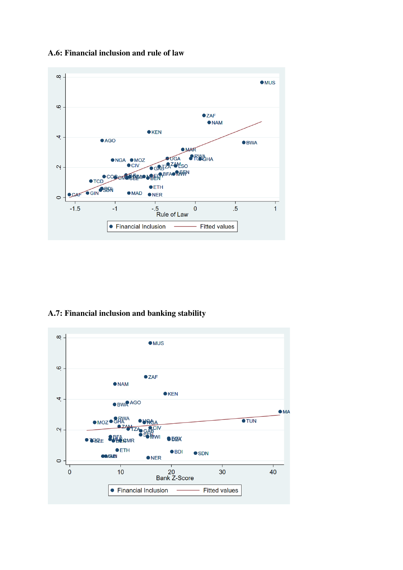#### **A.6: Financial inclusion and rule of law**



### **A.7: Financial inclusion and banking stability**

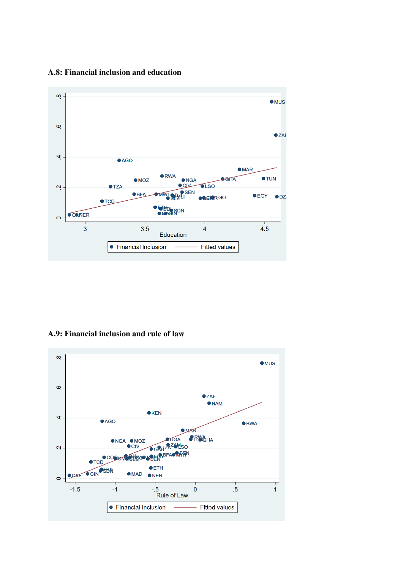#### **A.8: Financial inclusion and education**



**A.9: Financial inclusion and rule of law** 

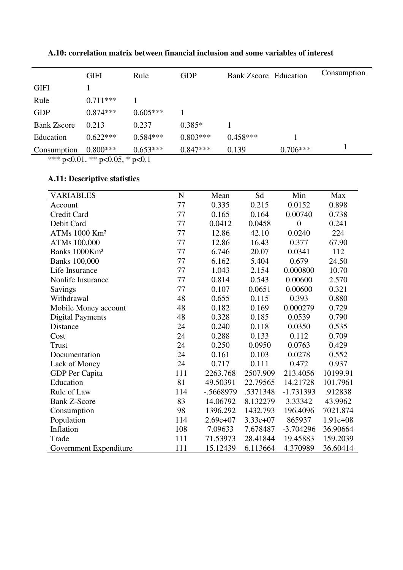|                    | <b>GIFI</b> | Rule       | <b>GDP</b> | <b>Bank Zscore</b> Education |            | Consumption |
|--------------------|-------------|------------|------------|------------------------------|------------|-------------|
| <b>GIFI</b>        |             |            |            |                              |            |             |
| Rule               | $0.711***$  |            |            |                              |            |             |
| <b>GDP</b>         | $0.874***$  | $0.605***$ |            |                              |            |             |
| <b>Bank Zscore</b> | 0.213       | 0.237      | $0.385*$   |                              |            |             |
| Education          | $0.622***$  | $0.584***$ | $0.803***$ | $0.458***$                   |            |             |
| Consumption        | $0.800***$  | $0.653***$ | $0.847***$ | 0.139                        | $0.706***$ |             |

### **A.10: correlation matrix between financial inclusion and some variables of interest**

\*\*\* p<0.01, \*\* p<0.05, \* p<0.1

## **A.11: Descriptive statistics**

| VARIABLES                 | N   | Mean       | Sd         | Min            | Max        |
|---------------------------|-----|------------|------------|----------------|------------|
| Account                   | 77  | 0.335      | 0.215      | 0.0152         | 0.898      |
| Credit Card               | 77  | 0.165      | 0.164      | 0.00740        | 0.738      |
| Debit Card                | 77  | 0.0412     | 0.0458     | $\overline{0}$ | 0.241      |
| ATMs 1000 Km <sup>2</sup> | 77  | 12.86      | 42.10      | 0.0240         | 224        |
| ATMs 100,000              | 77  | 12.86      | 16.43      | 0.377          | 67.90      |
| Banks 1000Km <sup>2</sup> | 77  | 6.746      | 20.07      | 0.0341         | 112        |
| <b>Banks</b> 100,000      | 77  | 6.162      | 5.404      | 0.679          | 24.50      |
| Life Insurance            | 77  | 1.043      | 2.154      | 0.000800       | 10.70      |
| Nonlife Insurance         | 77  | 0.814      | 0.543      | 0.00600        | 2.570      |
| Savings                   | 77  | 0.107      | 0.0651     | 0.00600        | 0.321      |
| Withdrawal                | 48  | 0.655      | 0.115      | 0.393          | 0.880      |
| Mobile Money account      | 48  | 0.182      | 0.169      | 0.000279       | 0.729      |
| <b>Digital Payments</b>   | 48  | 0.328      | 0.185      | 0.0539         | 0.790      |
| Distance                  | 24  | 0.240      | 0.118      | 0.0350         | 0.535      |
| Cost                      | 24  | 0.288      | 0.133      | 0.112          | 0.709      |
| Trust                     | 24  | 0.250      | 0.0950     | 0.0763         | 0.429      |
| Documentation             | 24  | 0.161      | 0.103      | 0.0278         | 0.552      |
| Lack of Money             | 24  | 0.717      | 0.111      | 0.472          | 0.937      |
| GDP Per Capita            | 111 | 2263.768   | 2507.909   | 213.4056       | 10199.91   |
| Education                 | 81  | 49.50391   | 22.79565   | 14.21728       | 101.7961   |
| Rule of Law               | 114 | -.5668979  | .5371348   | $-1.731393$    | .912838    |
| <b>Bank Z-Score</b>       | 83  | 14.06792   | 8.132279   | 3.33342        | 43.9962    |
| Consumption               | 98  | 1396.292   | 1432.793   | 196.4096       | 7021.874   |
| Population                | 114 | $2.69e+07$ | $3.33e+07$ | 865937         | $1.91e+08$ |
| Inflation                 | 108 | 7.09633    | 7.678487   | $-3.704296$    | 36.90664   |
| Trade                     | 111 | 71.53973   | 28.41844   | 19.45883       | 159.2039   |
| Government Expenditure    | 111 | 15.12439   | 6.113664   | 4.370989       | 36.60414   |